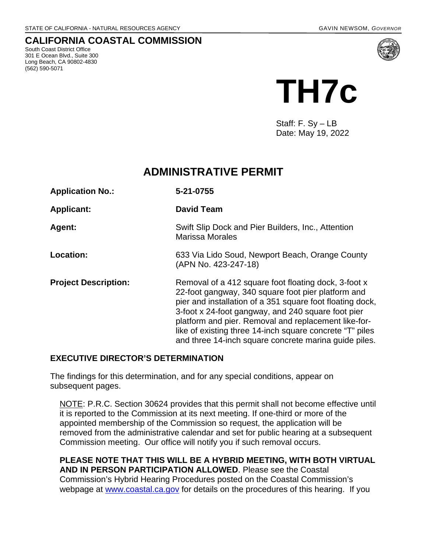## **CALIFORNIA COASTAL COMMISSION**

South Coast District Office 301 E Ocean Blvd., Suite 300 Long Beach, CA 90802-4830 (562) 590-5071



Staff: F. Sy – LB Date: May 19, 2022

# **ADMINISTRATIVE PERMIT**

| <b>Application No.:</b>     | 5-21-0755                                                                                                                                                                                                                                                                                                                                                                                                  |
|-----------------------------|------------------------------------------------------------------------------------------------------------------------------------------------------------------------------------------------------------------------------------------------------------------------------------------------------------------------------------------------------------------------------------------------------------|
| <b>Applicant:</b>           | <b>David Team</b>                                                                                                                                                                                                                                                                                                                                                                                          |
| Agent:                      | Swift Slip Dock and Pier Builders, Inc., Attention<br><b>Marissa Morales</b>                                                                                                                                                                                                                                                                                                                               |
| Location:                   | 633 Via Lido Soud, Newport Beach, Orange County<br>(APN No. 423-247-18)                                                                                                                                                                                                                                                                                                                                    |
| <b>Project Description:</b> | Removal of a 412 square foot floating dock, 3-foot x<br>22-foot gangway, 340 square foot pier platform and<br>pier and installation of a 351 square foot floating dock,<br>3-foot x 24-foot gangway, and 240 square foot pier<br>platform and pier. Removal and replacement like-for-<br>like of existing three 14-inch square concrete "T" piles<br>and three 14-inch square concrete marina guide piles. |

## **EXECUTIVE DIRECTOR'S DETERMINATION**

The findings for this determination, and for any special conditions, appear on subsequent pages.

NOTE: P.R.C. Section 30624 provides that this permit shall not become effective until it is reported to the Commission at its next meeting. If one-third or more of the appointed membership of the Commission so request, the application will be removed from the administrative calendar and set for public hearing at a subsequent Commission meeting. Our office will notify you if such removal occurs.

**PLEASE NOTE THAT THIS WILL BE A HYBRID MEETING, WITH BOTH VIRTUAL AND IN PERSON PARTICIPATION ALLOWED**. Please see the Coastal Commission's Hybrid Hearing Procedures posted on the Coastal Commission's webpage at [www.coastal.ca.gov](http://www.coastal.ca.gov/) for details on the procedures of this hearing. If you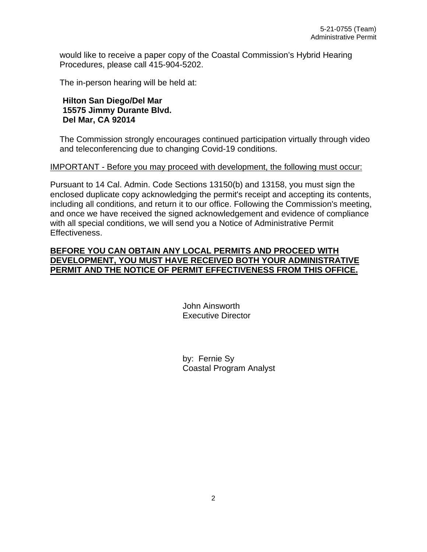would like to receive a paper copy of the Coastal Commission's Hybrid Hearing Procedures, please call 415-904-5202.

The in-person hearing will be held at:

### **Hilton San Diego/Del Mar 15575 Jimmy Durante Blvd. Del Mar, CA 92014**

The Commission strongly encourages continued participation virtually through video and teleconferencing due to changing Covid-19 conditions.

#### IMPORTANT - Before you may proceed with development, the following must occur:

Pursuant to 14 Cal. Admin. Code Sections 13150(b) and 13158, you must sign the enclosed duplicate copy acknowledging the permit's receipt and accepting its contents, including all conditions, and return it to our office. Following the Commission's meeting, and once we have received the signed acknowledgement and evidence of compliance with all special conditions, we will send you a Notice of Administrative Permit Effectiveness.

### **BEFORE YOU CAN OBTAIN ANY LOCAL PERMITS AND PROCEED WITH DEVELOPMENT, YOU MUST HAVE RECEIVED BOTH YOUR ADMINISTRATIVE PERMIT AND THE NOTICE OF PERMIT EFFECTIVENESS FROM THIS OFFICE.**

 John Ainsworth Executive Director

 by: Fernie Sy Coastal Program Analyst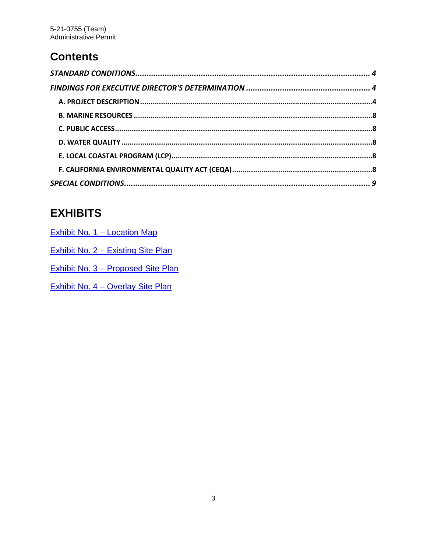# **Contents**

# **EXHIBITS**

| Exhibit No. 1 – Location Map       |
|------------------------------------|
| Exhibit No. 2 – Existing Site Plan |
| Exhibit No. 3 – Proposed Site Plan |
| Exhibit No. 4 - Overlay Site Plan  |
|                                    |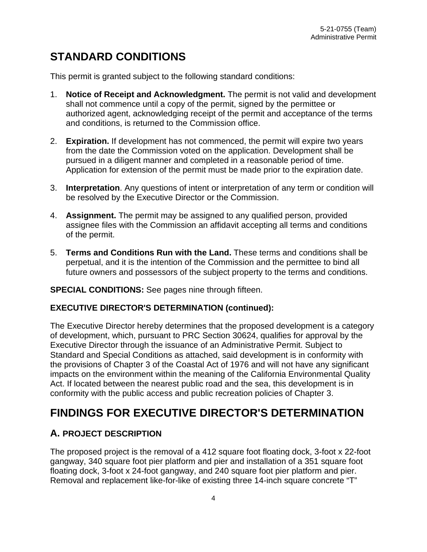# <span id="page-3-0"></span>**STANDARD CONDITIONS**

This permit is granted subject to the following standard conditions:

- 1. **Notice of Receipt and Acknowledgment.** The permit is not valid and development shall not commence until a copy of the permit, signed by the permittee or authorized agent, acknowledging receipt of the permit and acceptance of the terms and conditions, is returned to the Commission office.
- 2. **Expiration.** If development has not commenced, the permit will expire two years from the date the Commission voted on the application. Development shall be pursued in a diligent manner and completed in a reasonable period of time. Application for extension of the permit must be made prior to the expiration date.
- 3. **Interpretation**. Any questions of intent or interpretation of any term or condition will be resolved by the Executive Director or the Commission.
- 4. **Assignment.** The permit may be assigned to any qualified person, provided assignee files with the Commission an affidavit accepting all terms and conditions of the permit.
- 5. **Terms and Conditions Run with the Land.** These terms and conditions shall be perpetual, and it is the intention of the Commission and the permittee to bind all future owners and possessors of the subject property to the terms and conditions.

### **SPECIAL CONDITIONS:** See pages nine through fifteen.

### **EXECUTIVE DIRECTOR'S DETERMINATION (continued):**

The Executive Director hereby determines that the proposed development is a category of development, which, pursuant to PRC Section 30624, qualifies for approval by the Executive Director through the issuance of an Administrative Permit. Subject to Standard and Special Conditions as attached, said development is in conformity with the provisions of Chapter 3 of the Coastal Act of 1976 and will not have any significant impacts on the environment within the meaning of the California Environmental Quality Act. If located between the nearest public road and the sea, this development is in conformity with the public access and public recreation policies of Chapter 3.

# <span id="page-3-1"></span>**FINDINGS FOR EXECUTIVE DIRECTOR'S DETERMINATION**

# <span id="page-3-2"></span>**A. PROJECT DESCRIPTION**

The proposed project is the removal of a 412 square foot floating dock, 3-foot x 22-foot gangway, 340 square foot pier platform and pier and installation of a 351 square foot floating dock, 3-foot x 24-foot gangway, and 240 square foot pier platform and pier. Removal and replacement like-for-like of existing three 14-inch square concrete "T"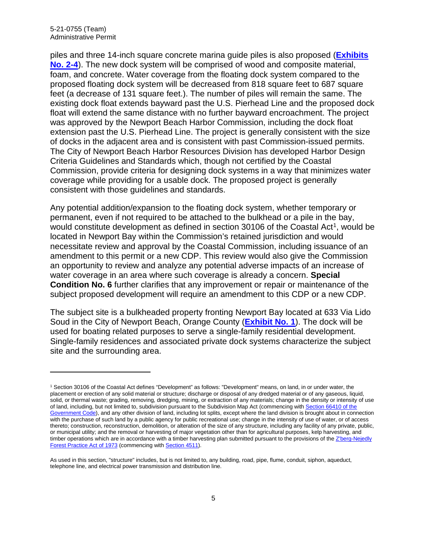piles and three 14-inch square concrete marina guide piles is also proposed (**[Exhibits](https://documents.coastal.ca.gov/reports/2022/6/Th7c/Th7c-6-2022-exhibits.pdf)  [No. 2-4](https://documents.coastal.ca.gov/reports/2022/6/Th7c/Th7c-6-2022-exhibits.pdf)**). The new dock system will be comprised of wood and composite material, foam, and concrete. Water coverage from the floating dock system compared to the proposed floating dock system will be decreased from 818 square feet to 687 square feet (a decrease of 131 square feet.). The number of piles will remain the same. The existing dock float extends bayward past the U.S. Pierhead Line and the proposed dock float will extend the same distance with no further bayward encroachment. The project was approved by the Newport Beach Harbor Commission, including the dock float extension past the U.S. Pierhead Line. The project is generally consistent with the size of docks in the adjacent area and is consistent with past Commission-issued permits. The City of Newport Beach Harbor Resources Division has developed Harbor Design Criteria Guidelines and Standards which, though not certified by the Coastal Commission, provide criteria for designing dock systems in a way that minimizes water coverage while providing for a usable dock. The proposed project is generally consistent with those guidelines and standards.

Any potential addition/expansion to the floating dock system, whether temporary or permanent, even if not required to be attached to the bulkhead or a pile in the bay, would constitute development as defined in section 30106 of the Coastal Act<sup>1</sup>, would be located in Newport Bay within the Commission's retained jurisdiction and would necessitate review and approval by the Coastal Commission, including issuance of an amendment to this permit or a new CDP. This review would also give the Commission an opportunity to review and analyze any potential adverse impacts of an increase of water coverage in an area where such coverage is already a concern. **Special Condition No. 6** further clarifies that any improvement or repair or maintenance of the subject proposed development will require an amendment to this CDP or a new CDP.

The subject site is a bulkheaded property fronting Newport Bay located at 633 Via Lido Soud in the City of Newport Beach, Orange County (**[Exhibit No. 1](https://documents.coastal.ca.gov/reports/2022/6/Th7c/Th7c-6-2022-exhibits.pdf)**). The dock will be used for boating related purposes to serve a single-family residential development. Single-family residences and associated private dock systems characterize the subject site and the surrounding area.

<span id="page-4-0"></span><sup>1</sup> Section 30106 of the Coastal Act defines "Development" as follows: "Development" means, on land, in or under water, the placement or erection of any solid material or structure; discharge or disposal of any dredged material or of any gaseous, liquid, solid, or thermal waste; grading, removing, dredging, mining, or extraction of any materials; change in the density or intensity of use of land, including, but not limited to, subdivision pursuant to the Subdivision Map Act (commencing with Section 66410 of the [Government Code\)](http://leginfo.legislature.ca.gov/faces/codes_displayexpandedbranch.xhtml?tocCode=GOV&division=2.&title=7.&part=&chapter=&article=), and any other division of land, including lot splits, except where the land division is brought about in connection with the purchase of such land by a public agency for public recreational use; change in the intensity of use of water, or of access thereto; construction, reconstruction, demolition, or alteration of the size of any structure, including any facility of any private, public, or municipal utility; and the removal or harvesting of major vegetation other than for agricultural purposes, kelp harvesting, and timber operations which are in accordance with a timber harvesting plan submitted pursuant to the provisions of the Z'berg-Nejedly [Forest Practice Act of 1973](http://leginfo.legislature.ca.gov/faces/codes_displayexpandedbranch.xhtml?tocCode=PRC&division=4.&title=&part=2.&chapter=8.&article=) (commencing wit[h Section 4511\)](http://leginfo.legislature.ca.gov/faces/codes_displayexpandedbranch.xhtml?tocCode=PRC&division=4.&title=&part=2.&chapter=8.&article=).

As used in this section, "structure" includes, but is not limited to, any building, road, pipe, flume, conduit, siphon, aqueduct, telephone line, and electrical power transmission and distribution line.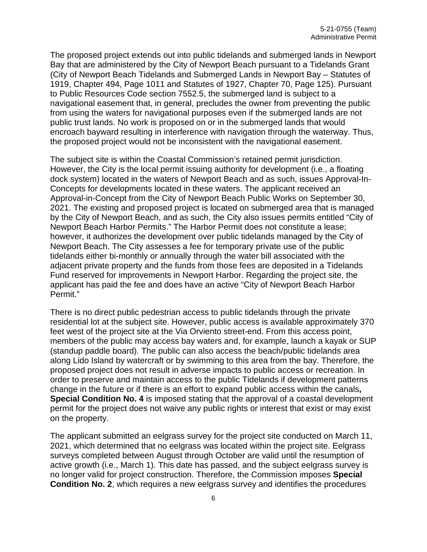The proposed project extends out into public tidelands and submerged lands in Newport Bay that are administered by the City of Newport Beach pursuant to a Tidelands Grant (City of Newport Beach Tidelands and Submerged Lands in Newport Bay – Statutes of 1919, Chapter 494, Page 1011 and Statutes of 1927, Chapter 70, Page 125). Pursuant to Public Resources Code section 7552.5, the submerged land is subject to a navigational easement that, in general, precludes the owner from preventing the public from using the waters for navigational purposes even if the submerged lands are not public trust lands. No work is proposed on or in the submerged lands that would encroach bayward resulting in interference with navigation through the waterway. Thus, the proposed project would not be inconsistent with the navigational easement.

The subject site is within the Coastal Commission's retained permit jurisdiction. However, the City is the local permit issuing authority for development (i.e., a floating dock system) located in the waters of Newport Beach and as such, issues Approval-In-Concepts for developments located in these waters. The applicant received an Approval-in-Concept from the City of Newport Beach Public Works on September 30, 2021. The existing and proposed project is located on submerged area that is managed by the City of Newport Beach, and as such, the City also issues permits entitled "City of Newport Beach Harbor Permits." The Harbor Permit does not constitute a lease; however, it authorizes the development over public tidelands managed by the City of Newport Beach. The City assesses a fee for temporary private use of the public tidelands either bi-monthly or annually through the water bill associated with the adjacent private property and the funds from those fees are deposited in a Tidelands Fund reserved for improvements in Newport Harbor. Regarding the project site, the applicant has paid the fee and does have an active "City of Newport Beach Harbor Permit."

There is no direct public pedestrian access to public tidelands through the private residential lot at the subject site. However, public access is available approximately 370 feet west of the project site at the Via Orviento street-end. From this access point, members of the public may access bay waters and, for example, launch a kayak or SUP (standup paddle board). The public can also access the beach/public tidelands area along Lido Island by watercraft or by swimming to this area from the bay. Therefore, the proposed project does not result in adverse impacts to public access or recreation. In order to preserve and maintain access to the public Tidelands if development patterns change in the future or if there is an effort to expand public access within the canals**, Special Condition No. 4** is imposed stating that the approval of a coastal development permit for the project does not waive any public rights or interest that exist or may exist on the property.

The applicant submitted an eelgrass survey for the project site conducted on March 11, 2021, which determined that no eelgrass was located within the project site. Eelgrass surveys completed between August through October are valid until the resumption of active growth (i.e., March 1). This date has passed, and the subject eelgrass survey is no longer valid for project construction. Therefore, the Commission imposes **Special Condition No. 2**, which requires a new eelgrass survey and identifies the procedures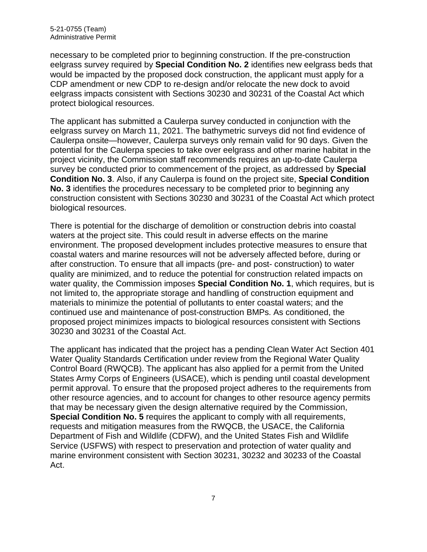necessary to be completed prior to beginning construction. If the pre-construction eelgrass survey required by **Special Condition No. 2** identifies new eelgrass beds that would be impacted by the proposed dock construction, the applicant must apply for a CDP amendment or new CDP to re-design and/or relocate the new dock to avoid eelgrass impacts consistent with Sections 30230 and 30231 of the Coastal Act which protect biological resources.

The applicant has submitted a Caulerpa survey conducted in conjunction with the eelgrass survey on March 11, 2021. The bathymetric surveys did not find evidence of Caulerpa onsite—however, Caulerpa surveys only remain valid for 90 days. Given the potential for the Caulerpa species to take over eelgrass and other marine habitat in the project vicinity, the Commission staff recommends requires an up-to-date Caulerpa survey be conducted prior to commencement of the project, as addressed by **Special Condition No. 3**. Also, if any Caulerpa is found on the project site, **Special Condition No. 3** identifies the procedures necessary to be completed prior to beginning any construction consistent with Sections 30230 and 30231 of the Coastal Act which protect biological resources.

There is potential for the discharge of demolition or construction debris into coastal waters at the project site. This could result in adverse effects on the marine environment. The proposed development includes protective measures to ensure that coastal waters and marine resources will not be adversely affected before, during or after construction. To ensure that all impacts (pre- and post- construction) to water quality are minimized, and to reduce the potential for construction related impacts on water quality, the Commission imposes **Special Condition No. 1**, which requires, but is not limited to, the appropriate storage and handling of construction equipment and materials to minimize the potential of pollutants to enter coastal waters; and the continued use and maintenance of post-construction BMPs. As conditioned, the proposed project minimizes impacts to biological resources consistent with Sections 30230 and 30231 of the Coastal Act.

The applicant has indicated that the project has a pending Clean Water Act Section 401 Water Quality Standards Certification under review from the Regional Water Quality Control Board (RWQCB). The applicant has also applied for a permit from the United States Army Corps of Engineers (USACE), which is pending until coastal development permit approval. To ensure that the proposed project adheres to the requirements from other resource agencies, and to account for changes to other resource agency permits that may be necessary given the design alternative required by the Commission, **Special Condition No. 5** requires the applicant to comply with all requirements, requests and mitigation measures from the RWQCB, the USACE, the California Department of Fish and Wildlife (CDFW), and the United States Fish and Wildlife Service (USFWS) with respect to preservation and protection of water quality and marine environment consistent with Section 30231, 30232 and 30233 of the Coastal Act.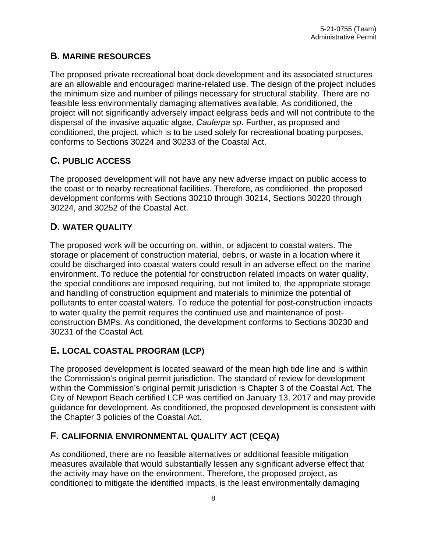# <span id="page-7-0"></span>**B. MARINE RESOURCES**

The proposed private recreational boat dock development and its associated structures are an allowable and encouraged marine-related use. The design of the project includes the minimum size and number of pilings necessary for structural stability. There are no feasible less environmentally damaging alternatives available. As conditioned, the project will not significantly adversely impact eelgrass beds and will not contribute to the dispersal of the invasive aquatic algae, *Caulerpa sp*. Further, as proposed and conditioned, the project, which is to be used solely for recreational boating purposes, conforms to Sections 30224 and 30233 of the Coastal Act.

# <span id="page-7-1"></span>**C. PUBLIC ACCESS**

The proposed development will not have any new adverse impact on public access to the coast or to nearby recreational facilities. Therefore, as conditioned, the proposed development conforms with Sections 30210 through 30214, Sections 30220 through 30224, and 30252 of the Coastal Act.

# <span id="page-7-2"></span>**D. WATER QUALITY**

The proposed work will be occurring on, within, or adjacent to coastal waters. The storage or placement of construction material, debris, or waste in a location where it could be discharged into coastal waters could result in an adverse effect on the marine environment. To reduce the potential for construction related impacts on water quality, the special conditions are imposed requiring, but not limited to, the appropriate storage and handling of construction equipment and materials to minimize the potential of pollutants to enter coastal waters. To reduce the potential for post-construction impacts to water quality the permit requires the continued use and maintenance of postconstruction BMPs. As conditioned, the development conforms to Sections 30230 and 30231 of the Coastal Act.

# <span id="page-7-3"></span>**E. LOCAL COASTAL PROGRAM (LCP)**

The proposed development is located seaward of the mean high tide line and is within the Commission's original permit jurisdiction. The standard of review for development within the Commission's original permit jurisdiction is Chapter 3 of the Coastal Act. The City of Newport Beach certified LCP was certified on January 13, 2017 and may provide guidance for development. As conditioned, the proposed development is consistent with the Chapter 3 policies of the Coastal Act.

# <span id="page-7-4"></span>**F. CALIFORNIA ENVIRONMENTAL QUALITY ACT (CEQA)**

As conditioned, there are no feasible alternatives or additional feasible mitigation measures available that would substantially lessen any significant adverse effect that the activity may have on the environment. Therefore, the proposed project, as conditioned to mitigate the identified impacts, is the least environmentally damaging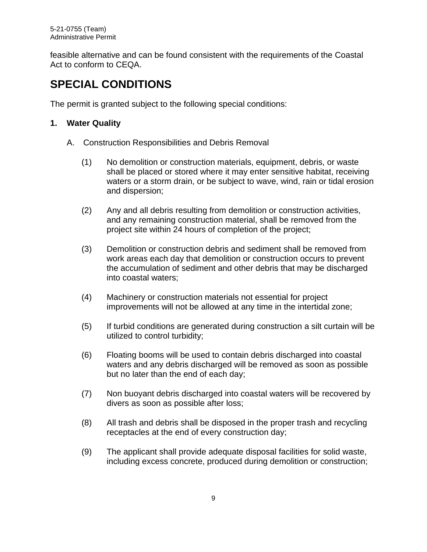feasible alternative and can be found consistent with the requirements of the Coastal Act to conform to CEQA.

# <span id="page-8-0"></span>**SPECIAL CONDITIONS**

The permit is granted subject to the following special conditions:

# **1. Water Quality**

- A. Construction Responsibilities and Debris Removal
	- (1) No demolition or construction materials, equipment, debris, or waste shall be placed or stored where it may enter sensitive habitat, receiving waters or a storm drain, or be subject to wave, wind, rain or tidal erosion and dispersion;
	- (2) Any and all debris resulting from demolition or construction activities, and any remaining construction material, shall be removed from the project site within 24 hours of completion of the project;
	- (3) Demolition or construction debris and sediment shall be removed from work areas each day that demolition or construction occurs to prevent the accumulation of sediment and other debris that may be discharged into coastal waters;
	- (4) Machinery or construction materials not essential for project improvements will not be allowed at any time in the intertidal zone;
	- (5) If turbid conditions are generated during construction a silt curtain will be utilized to control turbidity;
	- (6) Floating booms will be used to contain debris discharged into coastal waters and any debris discharged will be removed as soon as possible but no later than the end of each day;
	- (7) Non buoyant debris discharged into coastal waters will be recovered by divers as soon as possible after loss;
	- (8) All trash and debris shall be disposed in the proper trash and recycling receptacles at the end of every construction day;
	- (9) The applicant shall provide adequate disposal facilities for solid waste, including excess concrete, produced during demolition or construction;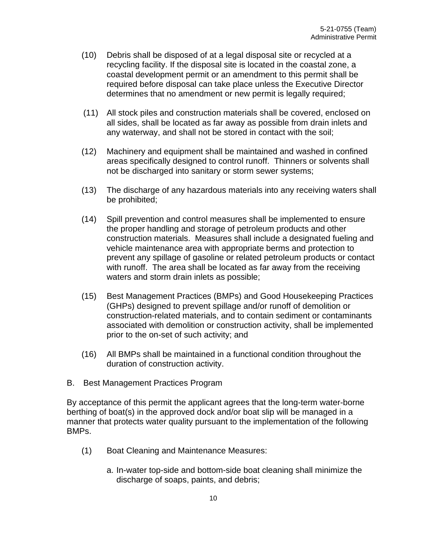- (10) Debris shall be disposed of at a legal disposal site or recycled at a recycling facility. If the disposal site is located in the coastal zone, a coastal development permit or an amendment to this permit shall be required before disposal can take place unless the Executive Director determines that no amendment or new permit is legally required;
- (11) All stock piles and construction materials shall be covered, enclosed on all sides, shall be located as far away as possible from drain inlets and any waterway, and shall not be stored in contact with the soil;
- (12) Machinery and equipment shall be maintained and washed in confined areas specifically designed to control runoff. Thinners or solvents shall not be discharged into sanitary or storm sewer systems;
- (13) The discharge of any hazardous materials into any receiving waters shall be prohibited;
- (14) Spill prevention and control measures shall be implemented to ensure the proper handling and storage of petroleum products and other construction materials. Measures shall include a designated fueling and vehicle maintenance area with appropriate berms and protection to prevent any spillage of gasoline or related petroleum products or contact with runoff. The area shall be located as far away from the receiving waters and storm drain inlets as possible;
- (15) Best Management Practices (BMPs) and Good Housekeeping Practices (GHPs) designed to prevent spillage and/or runoff of demolition or construction-related materials, and to contain sediment or contaminants associated with demolition or construction activity, shall be implemented prior to the on-set of such activity; and
- (16) All BMPs shall be maintained in a functional condition throughout the duration of construction activity.
- B. Best Management Practices Program

By acceptance of this permit the applicant agrees that the long-term water-borne berthing of boat(s) in the approved dock and/or boat slip will be managed in a manner that protects water quality pursuant to the implementation of the following BMPs.

- (1) Boat Cleaning and Maintenance Measures:
	- a. In-water top-side and bottom-side boat cleaning shall minimize the discharge of soaps, paints, and debris;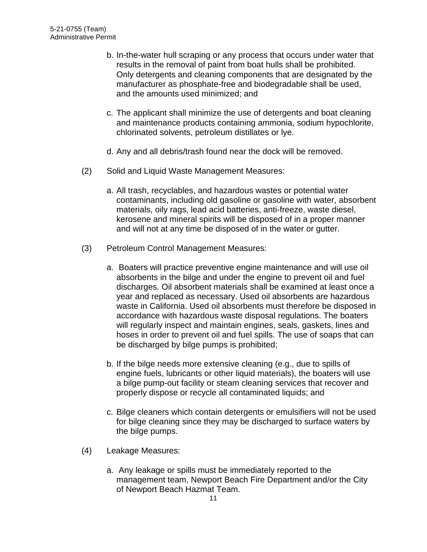- b. In-the-water hull scraping or any process that occurs under water that results in the removal of paint from boat hulls shall be prohibited. Only detergents and cleaning components that are designated by the manufacturer as phosphate-free and biodegradable shall be used, and the amounts used minimized; and
- c. The applicant shall minimize the use of detergents and boat cleaning and maintenance products containing ammonia, sodium hypochlorite, chlorinated solvents, petroleum distillates or lye.
- d. Any and all debris/trash found near the dock will be removed.
- (2) Solid and Liquid Waste Management Measures:
	- a. All trash, recyclables, and hazardous wastes or potential water contaminants, including old gasoline or gasoline with water, absorbent materials, oily rags, lead acid batteries, anti-freeze, waste diesel, kerosene and mineral spirits will be disposed of in a proper manner and will not at any time be disposed of in the water or gutter.
- (3) Petroleum Control Management Measures:
	- a. Boaters will practice preventive engine maintenance and will use oil absorbents in the bilge and under the engine to prevent oil and fuel discharges. Oil absorbent materials shall be examined at least once a year and replaced as necessary. Used oil absorbents are hazardous waste in California. Used oil absorbents must therefore be disposed in accordance with hazardous waste disposal regulations. The boaters will regularly inspect and maintain engines, seals, gaskets, lines and hoses in order to prevent oil and fuel spills. The use of soaps that can be discharged by bilge pumps is prohibited;
	- b. If the bilge needs more extensive cleaning (e.g., due to spills of engine fuels, lubricants or other liquid materials), the boaters will use a bilge pump-out facility or steam cleaning services that recover and properly dispose or recycle all contaminated liquids; and
	- c. Bilge cleaners which contain detergents or emulsifiers will not be used for bilge cleaning since they may be discharged to surface waters by the bilge pumps.
- (4) Leakage Measures:
	- a. Any leakage or spills must be immediately reported to the management team, Newport Beach Fire Department and/or the City of Newport Beach Hazmat Team.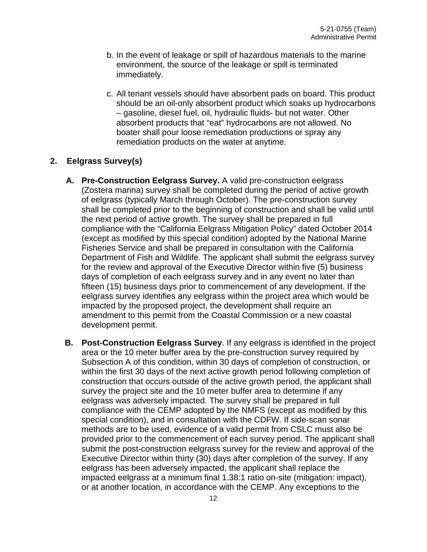- b. In the event of leakage or spill of hazardous materials to the marine environment, the source of the leakage or spill is terminated immediately.
- c. All tenant vessels should have absorbent pads on board. This product should be an oil-only absorbent product which soaks up hydrocarbons – gasoline, diesel fuel, oil, hydraulic fluids- but not water. Other absorbent products that "eat" hydrocarbons are not allowed. No boater shall pour loose remediation productions or spray any remediation products on the water at anytime.

## **2. Eelgrass Survey(s)**

- **A. Pre-Construction Eelgrass Survey.** A valid pre-construction eelgrass (Zostera marina) survey shall be completed during the period of active growth of eelgrass (typically March through October). The pre-construction survey shall be completed prior to the beginning of construction and shall be valid until the next period of active growth. The survey shall be prepared in full compliance with the "California Eelgrass Mitigation Policy" dated October 2014 (except as modified by this special condition) adopted by the National Marine Fisheries Service and shall be prepared in consultation with the California Department of Fish and Wildlife. The applicant shall submit the eelgrass survey for the review and approval of the Executive Director within five (5) business days of completion of each eelgrass survey and in any event no later than fifteen (15) business days prior to commencement of any development. If the eelgrass survey identifies any eelgrass within the project area which would be impacted by the proposed project, the development shall require an amendment to this permit from the Coastal Commission or a new coastal development permit.
- **B. Post-Construction Eelgrass Survey**. If any eelgrass is identified in the project area or the 10 meter buffer area by the pre-construction survey required by Subsection A of this condition, within 30 days of completion of construction, or within the first 30 days of the next active growth period following completion of construction that occurs outside of the active growth period, the applicant shall survey the project site and the 10 meter buffer area to determine if any eelgrass was adversely impacted. The survey shall be prepared in full compliance with the CEMP adopted by the NMFS (except as modified by this special condition), and in consultation with the CDFW. If side-scan sonar methods are to be used, evidence of a valid permit from CSLC must also be provided prior to the commencement of each survey period. The applicant shall submit the post-construction eelgrass survey for the review and approval of the Executive Director within thirty (30) days after completion of the survey. If any eelgrass has been adversely impacted, the applicant shall replace the impacted eelgrass at a minimum final 1.38:1 ratio on-site (mitigation: impact), or at another location, in accordance with the CEMP. Any exceptions to the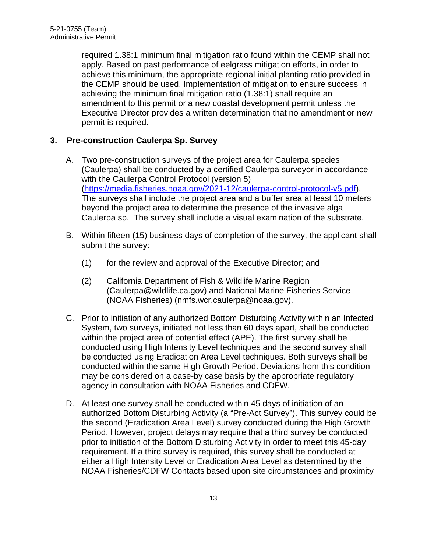required 1.38:1 minimum final mitigation ratio found within the CEMP shall not apply. Based on past performance of eelgrass mitigation efforts, in order to achieve this minimum, the appropriate regional initial planting ratio provided in the CEMP should be used. Implementation of mitigation to ensure success in achieving the minimum final mitigation ratio (1.38:1) shall require an amendment to this permit or a new coastal development permit unless the Executive Director provides a written determination that no amendment or new permit is required.

## **3. Pre-construction Caulerpa Sp. Survey**

- A. Two pre-construction surveys of the project area for Caulerpa species (Caulerpa) shall be conducted by a certified Caulerpa surveyor in accordance with the Caulerpa Control Protocol (version 5) [\(https://media.fisheries.noaa.gov/2021-12/caulerpa-control-protocol-v5.pdf\)](https://media.fisheries.noaa.gov/2021-12/caulerpa-control-protocol-v5.pdf). The surveys shall include the project area and a buffer area at least 10 meters beyond the project area to determine the presence of the invasive alga Caulerpa sp. The survey shall include a visual examination of the substrate.
- B. Within fifteen (15) business days of completion of the survey, the applicant shall submit the survey:
	- (1) for the review and approval of the Executive Director; and
	- (2) California Department of Fish & Wildlife Marine Region (Caulerpa@wildlife.ca.gov) and National Marine Fisheries Service (NOAA Fisheries) (nmfs.wcr.caulerpa@noaa.gov).
- C. Prior to initiation of any authorized Bottom Disturbing Activity within an Infected System, two surveys, initiated not less than 60 days apart, shall be conducted within the project area of potential effect (APE). The first survey shall be conducted using High Intensity Level techniques and the second survey shall be conducted using Eradication Area Level techniques. Both surveys shall be conducted within the same High Growth Period. Deviations from this condition may be considered on a case-by case basis by the appropriate regulatory agency in consultation with NOAA Fisheries and CDFW.
- D. At least one survey shall be conducted within 45 days of initiation of an authorized Bottom Disturbing Activity (a "Pre-Act Survey"). This survey could be the second (Eradication Area Level) survey conducted during the High Growth Period. However, project delays may require that a third survey be conducted prior to initiation of the Bottom Disturbing Activity in order to meet this 45-day requirement. If a third survey is required, this survey shall be conducted at either a High Intensity Level or Eradication Area Level as determined by the NOAA Fisheries/CDFW Contacts based upon site circumstances and proximity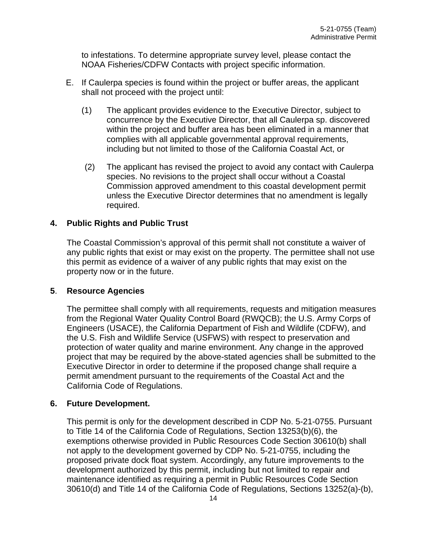to infestations. To determine appropriate survey level, please contact the NOAA Fisheries/CDFW Contacts with project specific information.

- E. If Caulerpa species is found within the project or buffer areas, the applicant shall not proceed with the project until:
	- (1) The applicant provides evidence to the Executive Director, subject to concurrence by the Executive Director, that all Caulerpa sp. discovered within the project and buffer area has been eliminated in a manner that complies with all applicable governmental approval requirements, including but not limited to those of the California Coastal Act, or
	- (2) The applicant has revised the project to avoid any contact with Caulerpa species. No revisions to the project shall occur without a Coastal Commission approved amendment to this coastal development permit unless the Executive Director determines that no amendment is legally required.

### **4. Public Rights and Public Trust**

The Coastal Commission's approval of this permit shall not constitute a waiver of any public rights that exist or may exist on the property. The permittee shall not use this permit as evidence of a waiver of any public rights that may exist on the property now or in the future.

### **5**. **Resource Agencies**

The permittee shall comply with all requirements, requests and mitigation measures from the Regional Water Quality Control Board (RWQCB); the U.S. Army Corps of Engineers (USACE), the California Department of Fish and Wildlife (CDFW), and the U.S. Fish and Wildlife Service (USFWS) with respect to preservation and protection of water quality and marine environment. Any change in the approved project that may be required by the above-stated agencies shall be submitted to the Executive Director in order to determine if the proposed change shall require a permit amendment pursuant to the requirements of the Coastal Act and the California Code of Regulations.

### **6. Future Development.**

This permit is only for the development described in CDP No. 5-21-0755. Pursuant to Title 14 of the California Code of Regulations, Section 13253(b)(6), the exemptions otherwise provided in Public Resources Code Section 30610(b) shall not apply to the development governed by CDP No. 5-21-0755, including the proposed private dock float system. Accordingly, any future improvements to the development authorized by this permit, including but not limited to repair and maintenance identified as requiring a permit in Public Resources Code Section 30610(d) and Title 14 of the California Code of Regulations, Sections 13252(a)-(b),